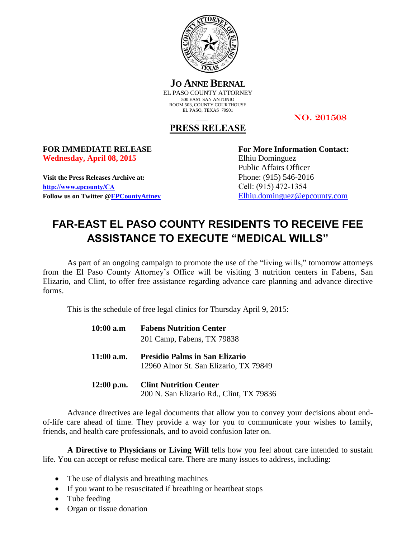

**JO ANNE BERNAL** EL PASO COUNTY ATTORNEY 500 EAST SAN ANTONIO ROOM 503, COUNTY COURTHOUSE EL PASO, TEXAS 79901

NO. 201508

## **PRESS RELEASE**

Wednesday, April 08, 2015 Elhiu Dominguez

**Visit the Press Releases Archive at:** Phone: (915) 546-2016 **[http://www.epcounty/CA](http://www.epcounty/CA/releases.htm)** Cell: (915) 472-1354 **Follow us on Twitter [@EPCountyAttney](http://twitter.com/EPCountyAttney)** [Elhiu.dominguez@epcounty.com](mailto:Elhiu.dominguez@epcounty.com)

**FOR IMMEDIATE RELEASE For More Information Contact:** Public Affairs Officer

## **FAR-EAST EL PASO COUNTY RESIDENTS TO RECEIVE FEE ASSISTANCE TO EXECUTE "MEDICAL WILLS"**

As part of an ongoing campaign to promote the use of the "living wills," tomorrow attorneys from the El Paso County Attorney's Office will be visiting 3 nutrition centers in Fabens, San Elizario, and Clint, to offer free assistance regarding advance care planning and advance directive forms.

This is the schedule of free legal clinics for Thursday April 9, 2015:

| $10:00$ a.m  | <b>Fabens Nutrition Center</b><br>201 Camp, Fabens, TX 79838                    |
|--------------|---------------------------------------------------------------------------------|
| $11:00$ a.m. | <b>Presidio Palms in San Elizario</b><br>12960 Alnor St. San Elizario, TX 79849 |
| $12:00$ p.m. | <b>Clint Nutrition Center</b><br>200 N. San Elizario Rd., Clint, TX 79836       |

Advance directives are legal documents that allow you to convey your decisions about endof-life care ahead of time. They provide a way for you to communicate your wishes to family, friends, and health care professionals, and to avoid confusion later on.

**A Directive to Physicians or Living Will** tells how you feel about care intended to sustain life. You can accept or refuse medical care. There are many issues to address, including:

- The use of dialysis and breathing machines
- If you want to be resuscitated if breathing or heartbeat stops
- Tube feeding
- Organ or tissue donation